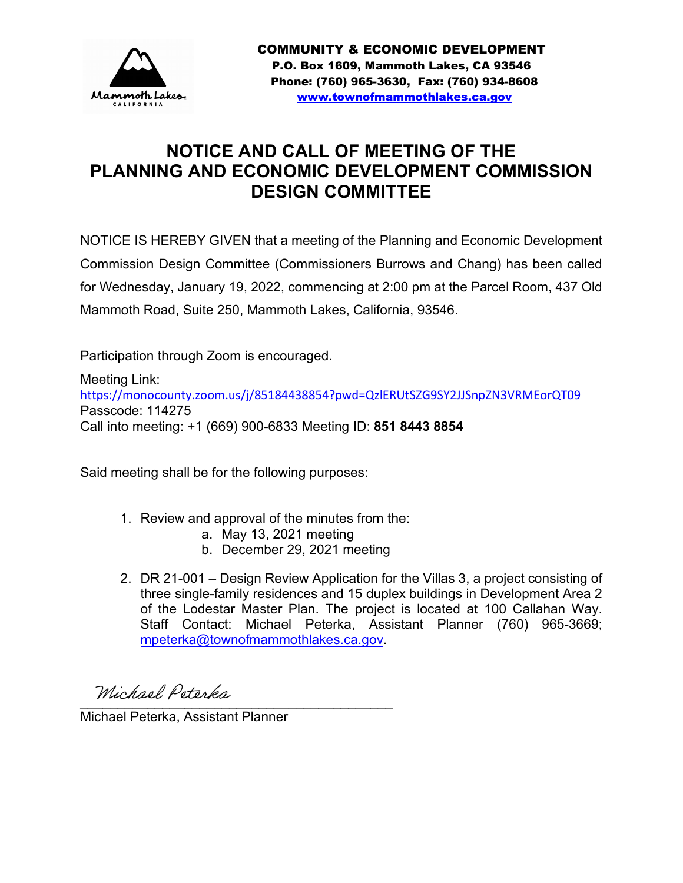

# **NOTICE AND CALL OF MEETING OF THE PLANNING AND ECONOMIC DEVELOPMENT COMMISSION DESIGN COMMITTEE**

NOTICE IS HEREBY GIVEN that a meeting of the Planning and Economic Development Commission Design Committee (Commissioners Burrows and Chang) has been called for Wednesday, January 19, 2022, commencing at 2:00 pm at the Parcel Room, 437 Old Mammoth Road, Suite 250, Mammoth Lakes, California, 93546.

Participation through Zoom is encouraged.

Meeting Link: <https://monocounty.zoom.us/j/85184438854?pwd=QzlERUtSZG9SY2JJSnpZN3VRMEorQT09> Passcode: 114275 Call into meeting: +1 (669) 900-6833 Meeting ID: **851 8443 8854**

Said meeting shall be for the following purposes:

- 1. Review and approval of the minutes from the:
	- a. May 13, 2021 meeting
	- b. December 29, 2021 meeting
- 2. DR 21-001 Design Review Application for the Villas 3, a project consisting of three single-family residences and 15 duplex buildings in Development Area 2 of the Lodestar Master Plan. The project is located at 100 Callahan Way. Staff Contact: Michael Peterka, Assistant Planner (760) 965-3669; [mpeterka@townofmammothlakes.ca.gov.](mailto:mpeterka@townofmammothlakes.ca.gov)

 $\frac{1}{2}$ 

Michael Peterka, Assistant Planner